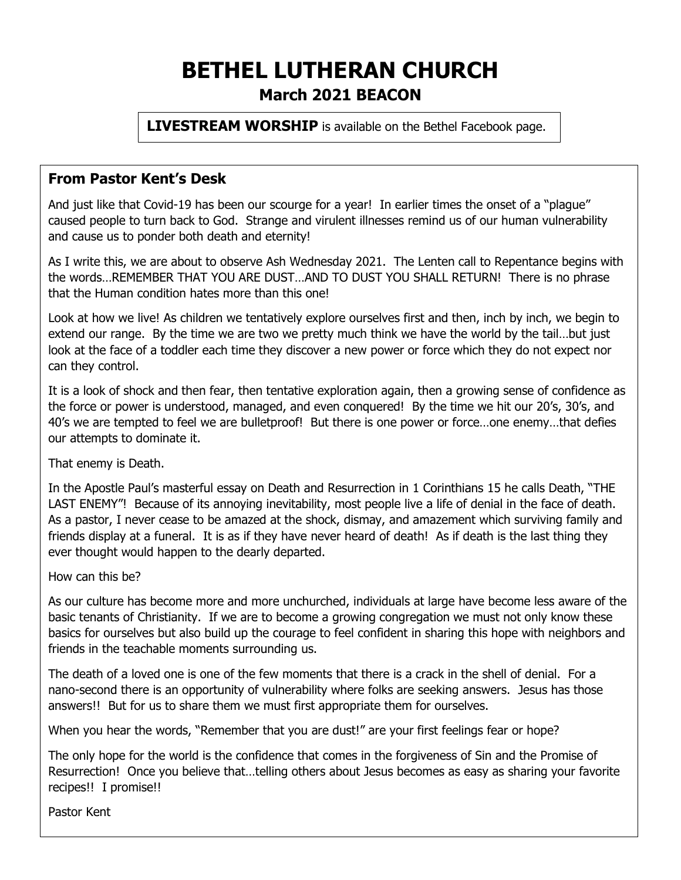# **BETHEL LUTHERAN CHURCH March 2021 BEACON**

**LIVESTREAM WORSHIP** is available on the Bethel Facebook page.

## **From Pastor Kent's Desk**

And just like that Covid-19 has been our scourge for a year! In earlier times the onset of a "plague" caused people to turn back to God. Strange and virulent illnesses remind us of our human vulnerability and cause us to ponder both death and eternity!

As I write this, we are about to observe Ash Wednesday 2021. The Lenten call to Repentance begins with the words…REMEMBER THAT YOU ARE DUST…AND TO DUST YOU SHALL RETURN! There is no phrase that the Human condition hates more than this one!

Look at how we live! As children we tentatively explore ourselves first and then, inch by inch, we begin to extend our range. By the time we are two we pretty much think we have the world by the tail…but just look at the face of a toddler each time they discover a new power or force which they do not expect nor can they control.

It is a look of shock and then fear, then tentative exploration again, then a growing sense of confidence as the force or power is understood, managed, and even conquered! By the time we hit our 20's, 30's, and 40's we are tempted to feel we are bulletproof! But there is one power or force…one enemy…that defies our attempts to dominate it.

That enemy is Death.

In the Apostle Paul's masterful essay on Death and Resurrection in 1 Corinthians 15 he calls Death, "THE LAST ENEMY"! Because of its annoying inevitability, most people live a life of denial in the face of death. As a pastor, I never cease to be amazed at the shock, dismay, and amazement which surviving family and friends display at a funeral. It is as if they have never heard of death! As if death is the last thing they ever thought would happen to the dearly departed.

How can this be?

As our culture has become more and more unchurched, individuals at large have become less aware of the basic tenants of Christianity. If we are to become a growing congregation we must not only know these basics for ourselves but also build up the courage to feel confident in sharing this hope with neighbors and friends in the teachable moments surrounding us.

The death of a loved one is one of the few moments that there is a crack in the shell of denial. For a nano-second there is an opportunity of vulnerability where folks are seeking answers. Jesus has those answers!! But for us to share them we must first appropriate them for ourselves.

When you hear the words, "Remember that you are dust!" are your first feelings fear or hope?

The only hope for the world is the confidence that comes in the forgiveness of Sin and the Promise of Resurrection! Once you believe that…telling others about Jesus becomes as easy as sharing your favorite recipes!! I promise!!

Pastor Kent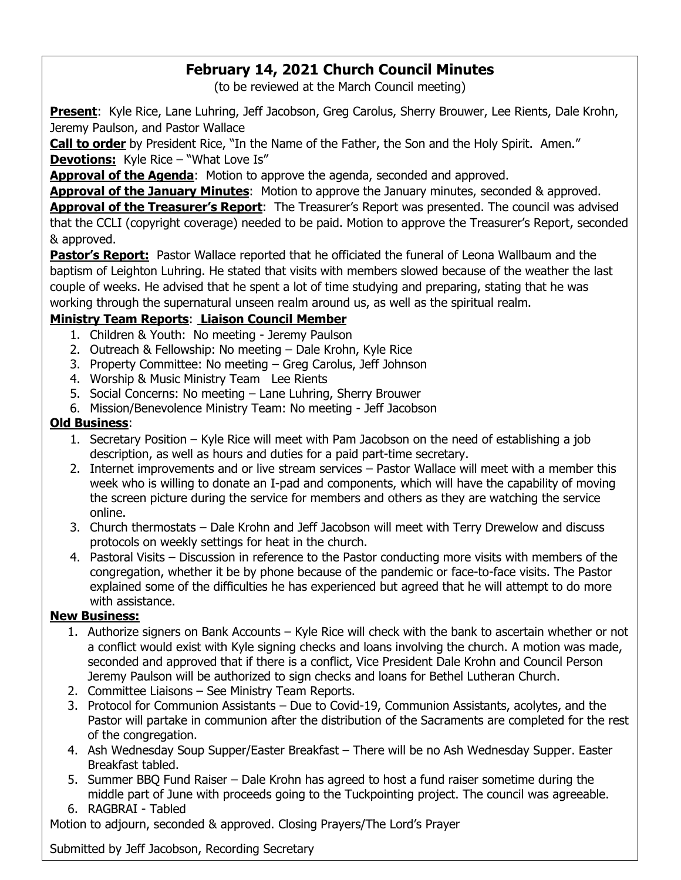# **February 14, 2021 Church Council Minutes**

(to be reviewed at the March Council meeting)

**Present**: Kyle Rice, Lane Luhring, Jeff Jacobson, Greg Carolus, Sherry Brouwer, Lee Rients, Dale Krohn, Jeremy Paulson, and Pastor Wallace

**Call to order** by President Rice, "In the Name of the Father, the Son and the Holy Spirit. Amen." **Devotions:** Kyle Rice – "What Love Is"

Approval of the Agenda: Motion to approve the agenda, seconded and approved.

**Approval of the January Minutes**: Motion to approve the January minutes, seconded & approved.

Approval of the Treasurer's Report: The Treasurer's Report was presented. The council was advised that the CCLI (copyright coverage) needed to be paid. Motion to approve the Treasurer's Report, seconded & approved.

**Pastor's Report:** Pastor Wallace reported that he officiated the funeral of Leona Wallbaum and the baptism of Leighton Luhring. He stated that visits with members slowed because of the weather the last couple of weeks. He advised that he spent a lot of time studying and preparing, stating that he was working through the supernatural unseen realm around us, as well as the spiritual realm.

## **Ministry Team Reports**: **Liaison Council Member**

- 1. Children & Youth: No meeting Jeremy Paulson
- 2. Outreach & Fellowship: No meeting Dale Krohn, Kyle Rice
- 3. Property Committee: No meeting Greg Carolus, Jeff Johnson
- 4. Worship & Music Ministry Team Lee Rients
- 5. Social Concerns: No meeting Lane Luhring, Sherry Brouwer
- 6. Mission/Benevolence Ministry Team: No meeting Jeff Jacobson

#### **Old Business**:

- 1. Secretary Position Kyle Rice will meet with Pam Jacobson on the need of establishing a job description, as well as hours and duties for a paid part-time secretary.
- 2. Internet improvements and or live stream services Pastor Wallace will meet with a member this week who is willing to donate an I-pad and components, which will have the capability of moving the screen picture during the service for members and others as they are watching the service online.
- 3. Church thermostats Dale Krohn and Jeff Jacobson will meet with Terry Drewelow and discuss protocols on weekly settings for heat in the church.
- 4. Pastoral Visits Discussion in reference to the Pastor conducting more visits with members of the congregation, whether it be by phone because of the pandemic or face-to-face visits. The Pastor explained some of the difficulties he has experienced but agreed that he will attempt to do more with assistance.

#### **New Business:**

- 1. Authorize signers on Bank Accounts Kyle Rice will check with the bank to ascertain whether or not a conflict would exist with Kyle signing checks and loans involving the church. A motion was made, seconded and approved that if there is a conflict, Vice President Dale Krohn and Council Person Jeremy Paulson will be authorized to sign checks and loans for Bethel Lutheran Church.
- 2. Committee Liaisons See Ministry Team Reports.
- 3. Protocol for Communion Assistants Due to Covid-19, Communion Assistants, acolytes, and the Pastor will partake in communion after the distribution of the Sacraments are completed for the rest of the congregation.
- 4. Ash Wednesday Soup Supper/Easter Breakfast There will be no Ash Wednesday Supper. Easter Breakfast tabled.
- 5. Summer BBQ Fund Raiser Dale Krohn has agreed to host a fund raiser sometime during the middle part of June with proceeds going to the Tuckpointing project. The council was agreeable. 6. RAGBRAI - Tabled

Motion to adjourn, seconded & approved. Closing Prayers/The Lord's Prayer

Submitted by Jeff Jacobson, Recording Secretary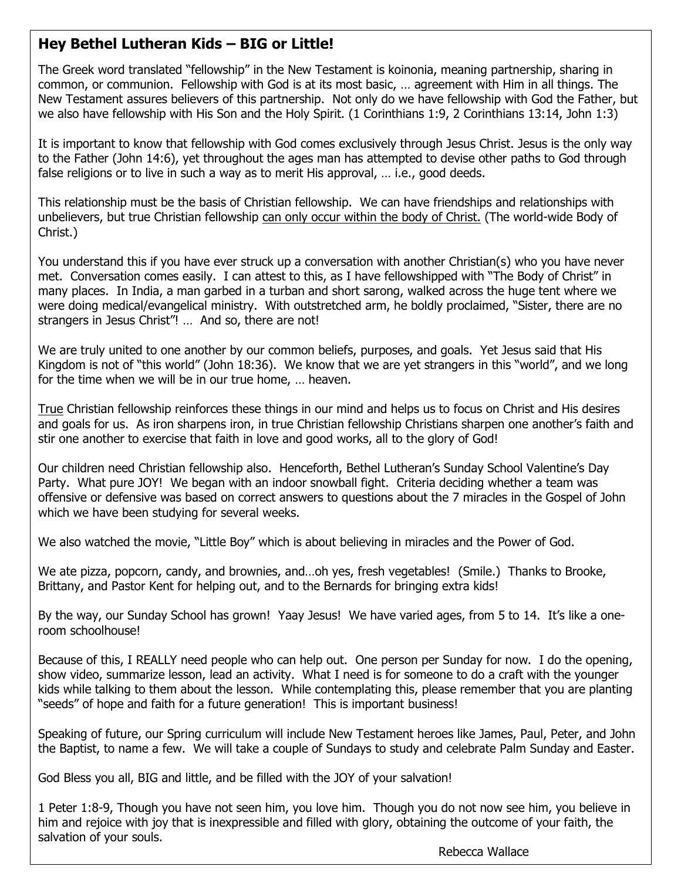## **Hey Bethel Lutheran Kids – BIG or Little!**

The Greek word translated "fellowship" in the New Testament is koinonia, meaning partnership, sharing in common, or communion. Fellowship with God is at its most basic, … agreement with Him in all things. The New Testament assures believers of this partnership. Not only do we have fellowship with God the Father, but we also have fellowship with His Son and the Holy Spirit. (1 Corinthians 1:9, 2 Corinthians 13:14, John 1:3)

It is important to know that fellowship with God comes exclusively through Jesus Christ. Jesus is the only way to the Father (John 14:6), yet throughout the ages man has attempted to devise other paths to God through false religions or to live in such a way as to merit His approval, … i.e., good deeds.

This relationship must be the basis of Christian fellowship. We can have friendships and relationships with unbelievers, but true Christian fellowship can only occur within the body of Christ. (The world-wide Body of Christ.)

You understand this if you have ever struck up a conversation with another Christian(s) who you have never met. Conversation comes easily. I can attest to this, as I have fellowshipped with "The Body of Christ" in many places. In India, a man garbed in a turban and short sarong, walked across the huge tent where we were doing medical/evangelical ministry. With outstretched arm, he boldly proclaimed, "Sister, there are no strangers in Jesus Christ"! … And so, there are not!

We are truly united to one another by our common beliefs, purposes, and goals. Yet Jesus said that His Kingdom is not of "this world" (John 18:36). We know that we are yet strangers in this "world", and we long for the time when we will be in our true home, … heaven.

True Christian fellowship reinforces these things in our mind and helps us to focus on Christ and His desires and goals for us. As iron sharpens iron, in true Christian fellowship Christians sharpen one another's faith and stir one another to exercise that faith in love and good works, all to the glory of God!

Our children need Christian fellowship also. Henceforth, Bethel Lutheran's Sunday School Valentine's Day Party. What pure JOY! We began with an indoor snowball fight. Criteria deciding whether a team was offensive or defensive was based on correct answers to questions about the 7 miracles in the Gospel of John which we have been studying for several weeks.

We also watched the movie, "Little Boy" which is about believing in miracles and the Power of God.

We ate pizza, popcorn, candy, and brownies, and…oh yes, fresh vegetables! (Smile.) Thanks to Brooke, Brittany, and Pastor Kent for helping out, and to the Bernards for bringing extra kids!

By the way, our Sunday School has grown! Yaay Jesus! We have varied ages, from 5 to 14. It's like a oneroom schoolhouse!

Because of this, I REALLY need people who can help out. One person per Sunday for now. I do the opening, show video, summarize lesson, lead an activity. What I need is for someone to do a craft with the younger kids while talking to them about the lesson. While contemplating this, please remember that you are planting "seeds" of hope and faith for a future generation! This is important business!

Speaking of future, our Spring curriculum will include New Testament heroes like James, Paul, Peter, and John the Baptist, to name a few. We will take a couple of Sundays to study and celebrate Palm Sunday and Easter.

God Bless you all, BIG and little, and be filled with the JOY of your salvation!

1 Peter 1:8-9, Though you have not seen him, you love him. Though you do not now see him, you believe in him and rejoice with joy that is inexpressible and filled with glory, obtaining the outcome of your faith, the salvation of your souls.

Rebecca Wallace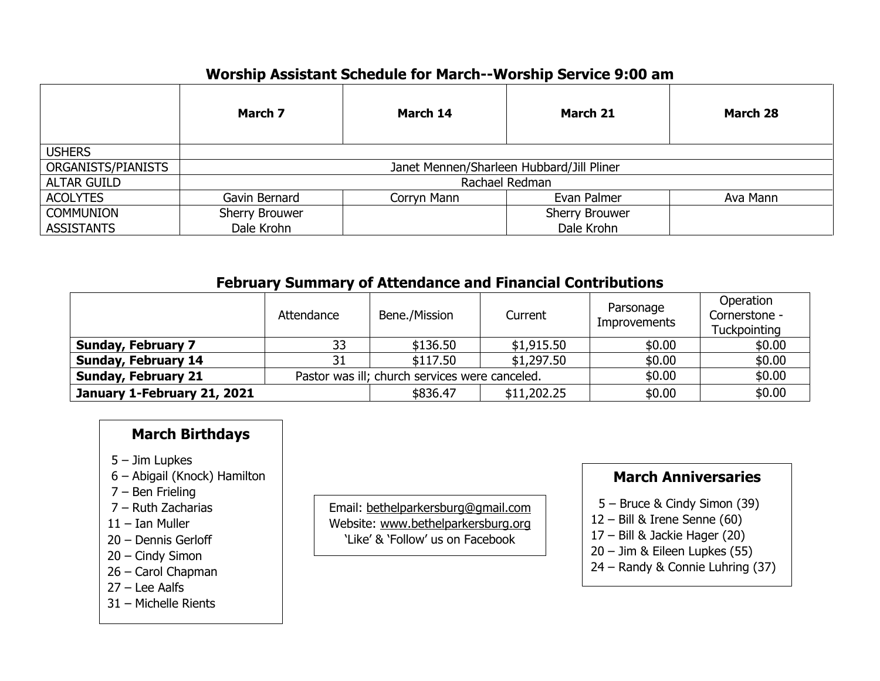# **Worship Assistant Schedule for March--Worship Service 9:00 am**

|                    | March 7                                   | March 14    | March 21       | March 28 |  |  |
|--------------------|-------------------------------------------|-------------|----------------|----------|--|--|
| <b>USHERS</b>      |                                           |             |                |          |  |  |
| ORGANISTS/PIANISTS | Janet Mennen/Sharleen Hubbard/Jill Pliner |             |                |          |  |  |
| <b>ALTAR GUILD</b> | Rachael Redman                            |             |                |          |  |  |
| <b>ACOLYTES</b>    | Gavin Bernard                             | Corryn Mann | Evan Palmer    | Ava Mann |  |  |
| <b>COMMUNION</b>   | Sherry Brouwer                            |             | Sherry Brouwer |          |  |  |
| <b>ASSISTANTS</b>  | Dale Krohn                                |             | Dale Krohn     |          |  |  |

## **February Summary of Attendance and Financial Contributions**

|                             | Attendance                                     | Bene./Mission | Current     | Parsonage<br>Improvements | Operation<br>Cornerstone -<br>Tuckpointing |
|-----------------------------|------------------------------------------------|---------------|-------------|---------------------------|--------------------------------------------|
| <b>Sunday, February 7</b>   | 33                                             | \$136.50      | \$1,915.50  | \$0.00                    | \$0.00                                     |
| <b>Sunday, February 14</b>  |                                                | \$117.50      | \$1,297.50  | \$0.00                    | \$0.00                                     |
| <b>Sunday, February 21</b>  | Pastor was ill; church services were canceled. |               |             | \$0.00                    | \$0.00                                     |
| January 1-February 21, 2021 |                                                | \$836.47      | \$11,202.25 | \$0.00                    | \$0.00                                     |

## **March Birthdays**

- 5 Jim Lupkes
- 6 Abigail (Knock) Hamilton
- 7 Ben Frieling
- 7 Ruth Zacharias
- 11 Ian Muller
- 20 Dennis Gerloff
- 20 Cindy Simon
- 26 Carol Chapman
- 27 Lee Aalfs
- 31 Michelle Rients

Email: bethelparkersburg@gmail.com Website: www.bethelparkersburg.org 'Like' & 'Follow' us on Facebook

# **March Anniversaries**

- 5 Bruce & Cindy Simon (39)
- 12 Bill & Irene Senne (60)
- 17 Bill & Jackie Hager (20)
- 20 Jim & Eileen Lupkes (55)
- 24 Randy & Connie Luhring (37)